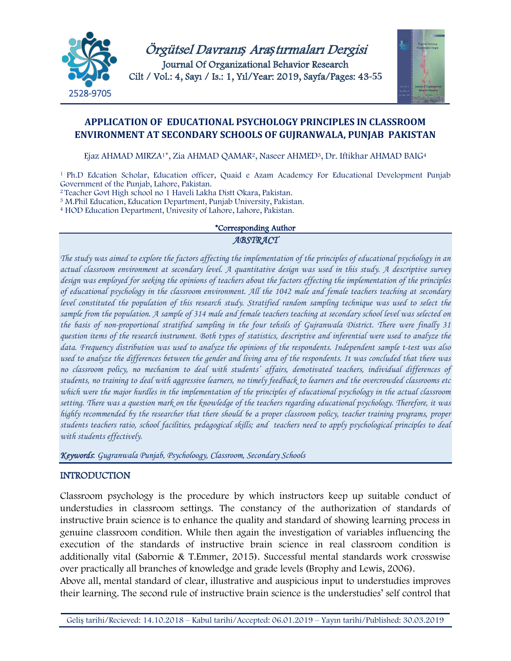

Örgütsel Davranı*ş* Ara*ş*tırmaları Dergisi Journal Of Organizational Behavior Research Cilt / Vol.: 4, Sayı / Is.: 1, Yıl/Year: 2019, Sayfa/Pages: 43**-55**



## **APPLICATION OF EDUCATIONAL PSYCHOLOGY PRINCIPLES IN CLASSROOM ENVIRONMENT AT SECONDARY SCHOOLS OF GUJRANWALA, PUNJAB PAKISTAN**

Ejaz AHMAD MIRZA<sup>1\*</sup>, Zia AHMAD QAMAR<sup>2</sup>, Naseer AHMED<sup>3</sup>, Dr. Iftikhar AHMAD BAIG<sup>4</sup>

<sup>1</sup> Ph.D Edcation Scholar, Education officer, Quaid e Azam Academcy For Educational Development Punjab Government of the Punjab, Lahore, Pakistan.

<sup>2</sup> Teacher Govt High school no 1 Haveli Lakha Distt Okara, Pakistan.

<sup>3</sup> M.Phil Education, Education Department, Punjab University, Pakistan.

<sup>4</sup> HOD Education Department, Univesity of Lahore, Lahore, Pakistan.

#### \*Corresponding Author

#### *ABSTRACT*

*The study was aimed to explore the factors affecting the implementation of the principles of educational psychology in an actual classroom environment at secondary level. A quantitative design was used in this study. A descriptive survey design was employed for seeking the opinions of teachers about the factors effecting the implementation of the principles of educational psychology in the classroom environment. All the 1042 male and female teachers teaching at secondary level constituted the population of this research study. Stratified random sampling technique was used to select the sample from the population. A sample of 314 male and female teachers teaching at secondary school level was selected on the basis of non-proportional stratified sampling in the four tehsils of Gujranwala District. There were finally 31 question items of the research instrument. Both types of statistics, descriptive and inferential were used to analyze the data. Frequency distribution was used to analyze the opinions of the respondents. Independent sample t-test was also used to analyze the differences between the gender and living area of the respondents. It was concluded that there was no classroom policy, no mechanism to deal with students' affairs, demotivated teachers, individual differences of students, no training to deal with aggressive learners, no timely feedback to learners and the overcrowded classrooms etc which were the major hurdles in the implementation of the principles of educational psychology in the actual classroom setting. There was a question mark on the knowledge of the teachers regarding educational psychology. Therefore, it was highly recommended by the researcher that there should be a proper classroom policy, teacher training programs, proper students teachers ratio, school facilities, pedagogical skills; and teachers need to apply psychological principles to deal with students effectively.*

*Keywords*: *Gugranwala Punjab, Psycholoogy, Classroom, Secondary Schools*

#### INTRODUCTION

Classroom psychology is the procedure by which instructors keep up suitable conduct of understudies in classroom settings. The constancy of the authorization of standards of instructive brain science is to enhance the quality and standard of showing learning process in genuine classroom condition. While then again the investigation of variables influencing the execution of the standards of instructive brain science in real classroom condition is additionally vital (Sabornie & T.Emmer, 2015). Successful mental standards work crosswise over practically all branches of knowledge and grade levels (Brophy and Lewis, 2006).

Above all, mental standard of clear, illustrative and auspicious input to understudies improves their learning. The second rule of instructive brain science is the understudies' self control that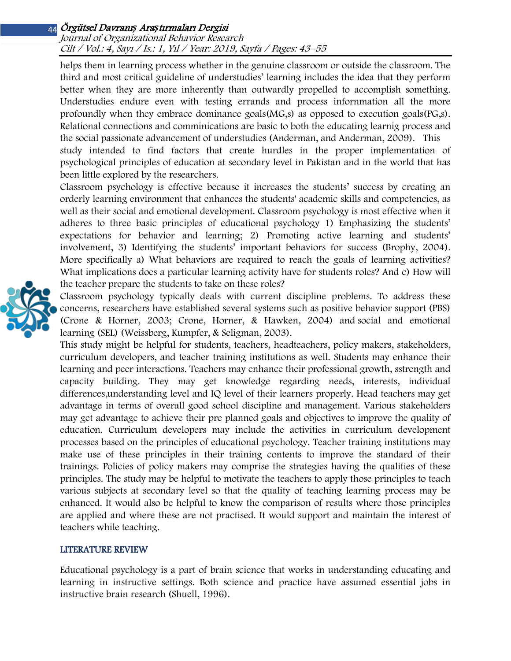#### Journal of Organizational Behavior Research Cilt / Vol.: 4, Sayı / Is.: <sup>1</sup>, Yıl / Year: 2019, Sayfa / Pages: 43–55

helps them in learning process whether in the genuine classroom or outside the classroom. The third and most critical guideline of understudies' learning includes the idea that they perform better when they are more inherently than outwardly propelled to accomplish something. Understudies endure even with testing errands and process infornmation all the more profoundly when they embrace dominance goals(MG,s) as opposed to execution goals(PG,s). Relational connections and comminications are basic to both the educating learnig process and the social passionate advancement of understudies (Anderman, and Anderman, 2009). This study intended to find factors that create hurdles in the proper implementation of psychological principles of education at secondary level in Pakistan and in the world that has been little explored by the researchers.

Classroom psychology is effective because it increases the students' success by creating an orderly learning environment that enhances the students' academic skills and competencies, as well as their social and emotional development. Classroom psychology is most effective when it adheres to three basic principles of educational psychology 1) Emphasizing the students' expectations for behavior and learning; 2) Promoting active learning and students' involvement, 3) Identifying the students' important behaviors for success (Brophy, 2004). More specifically a) What behaviors are required to reach the goals of learning activities? What implications does a particular learning activity have for students roles? And c) How will the teacher prepare the students to take on these roles?

Classroom psychology typically deals with current discipline problems. To address these concerns, researchers have established several systems such as positive behavior support (PBS) (Crone & Horner, 2003; Crone, Horner, & Hawken, 2004) and social and emotional learning (SEL) (Weissberg, Kumpfer, & Seligman, 2003).

This study might be helpful for students, teachers, headteachers, policy makers, stakeholders, curriculum developers, and teacher training institutions as well. Students may enhance their learning and peer interactions. Teachers may enhance their professional growth, sstrength and capacity building. They may get knowledge regarding needs, interests, individual differences,understanding level and IQ level of their learners properly. Head teachers may get advantage in terms of overall good school discipline and management. Various stakeholders may get advantage to achieve their pre planned goals and objectives to improve the quality of education. Curriculum developers may include the activities in curriculum development processes based on the principles of educational psychology. Teacher training institutions may make use of these principles in their training contents to improve the standard of their trainings. Policies of policy makers may comprise the strategies having the qualities of these principles. The study may be helpful to motivate the teachers to apply those principles to teach various subjects at secondary level so that the quality of teaching learning process may be enhanced. It would also be helpful to know the comparison of results where those principles are applied and where these are not practised. It would support and maintain the interest of teachers while teaching.

#### LITERATURE REVIEW

Educational psychology is a part of brain science that works in understanding educating and learning in instructive settings. Both science and practice have assumed essential jobs in instructive brain research (Shuell, 1996).

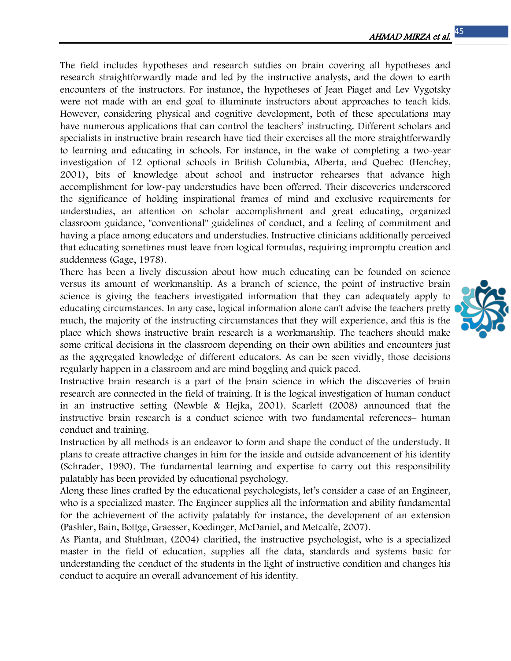The field includes hypotheses and research sutdies on brain covering all hypotheses and research straightforwardly made and led by the instructive analysts, and the down to earth encounters of the instructors. For instance, the hypotheses of Jean Piaget and Lev Vygotsky were not made with an end goal to illuminate instructors about approaches to teach kids. However, considering physical and cognitive development, both of these speculations may have numerous applications that can control the teachers' instructing. Different scholars and specialists in instructive brain research have tied their exercises all the more straightforwardly to learning and educating in schools. For instance, in the wake of completing a two-year investigation of 12 optional schools in British Columbia, Alberta, and Quebec (Henchey, 2001), bits of knowledge about school and instructor rehearses that advance high accomplishment for low-pay understudies have been offerred. Their discoveries underscored the significance of holding inspirational frames of mind and exclusive requirements for understudies, an attention on scholar accomplishment and great educating, organized classroom guidance, "conventional" guidelines of conduct, and a feeling of commitment and having a place among educators and understudies. Instructive clinicians additionally perceived that educating sometimes must leave from logical formulas, requiring impromptu creation and suddenness (Gage, 1978).

There has been a lively discussion about how much educating can be founded on science versus its amount of workmanship. As a branch of science, the point of instructive brain science is giving the teachers investigated information that they can adequately apply to educating circumstances. In any case, logical information alone can't advise the teachers pretty much, the majority of the instructing circumstances that they will experience, and this is the place which shows instructive brain research is a workmanship. The teachers should make some critical decisions in the classroom depending on their own abilities and encounters just as the aggregated knowledge of different educators. As can be seen vividly, those decisions regularly happen in a classroom and are mind boggling and quick paced.

Instructive brain research is a part of the brain science in which the discoveries of brain research are connected in the field of training. It is the logical investigation of human conduct in an instructive setting (Newble & Hejka, 2001). Scarlett (2008) announced that the instructive brain research is a conduct science with two fundamental references– human conduct and training.

Instruction by all methods is an endeavor to form and shape the conduct of the understudy. It plans to create attractive changes in him for the inside and outside advancement of his identity (Schrader, 1990). The fundamental learning and expertise to carry out this responsibility palatably has been provided by educational psychology.

Along these lines crafted by the educational psychologists, let's consider a case of an Engineer, who is a specialized master. The Engineer supplies all the information and ability fundamental for the achievement of the activity palatably for instance, the development of an extension (Pashler, Bain, Bottge, Graesser, Koedinger, McDaniel, and Metcalfe, 2007).

As Pianta, and Stuhlman, (2004) clarified, the instructive psychologist, who is a specialized master in the field of education, supplies all the data, standards and systems basic for understanding the conduct of the students in the light of instructive condition and changes his conduct to acquire an overall advancement of his identity.

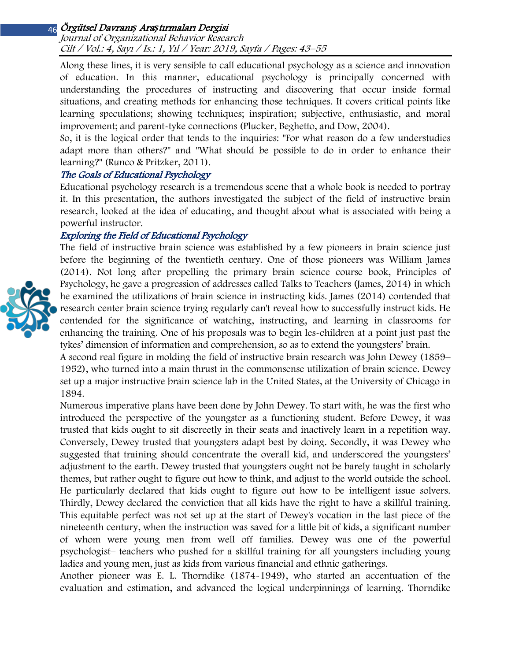Journal of Organizational Behavior Research Cilt / Vol.: 4, Sayı / Is.: <sup>1</sup>, Yıl / Year: 2019, Sayfa / Pages: 43–55

Along these lines, it is very sensible to call educational psychology as a science and innovation of education. In this manner, educational psychology is principally concerned with understanding the procedures of instructing and discovering that occur inside formal situations, and creating methods for enhancing those techniques. It covers critical points like learning speculations; showing techniques; inspiration; subjective, enthusiastic, and moral improvement; and parent-tyke connections (Plucker, Beghetto, and Dow, 2004).

So, it is the logical order that tends to the inquiries: "For what reason do a few understudies adapt more than others?" and "What should be possible to do in order to enhance their learning?" (Runco & Pritzker, 2011).

#### The Goals of Educational Psychology

Educational psychology research is a tremendous scene that a whole book is needed to portray it. In this presentation, the authors investigated the subject of the field of instructive brain research, looked at the idea of educating, and thought about what is associated with being a powerful instructor.

#### Exploring the Field of Educational Psychology

The field of instructive brain science was established by a few pioneers in brain science just before the beginning of the twentieth century. One of those pioneers was William James (2014). Not long after propelling the primary brain science course book, Principles of Psychology, he gave a progression of addresses called Talks to Teachers (James, 2014) in which he examined the utilizations of brain science in instructing kids. James (2014) contended that research center brain science trying regularly can't reveal how to successfully instruct kids. He contended for the significance of watching, instructing, and learning in classrooms for enhancing the training. One of his proposals was to begin les-children at a point just past the tykes' dimension of information and comprehension, so as to extend the youngsters' brain.

A second real figure in molding the field of instructive brain research was John Dewey (1859– 1952), who turned into a main thrust in the commonsense utilization of brain science. Dewey set up a major instructive brain science lab in the United States, at the University of Chicago in 1894.

Numerous imperative plans have been done by John Dewey. To start with, he was the first who introduced the perspective of the youngster as a functioning student. Before Dewey, it was trusted that kids ought to sit discreetly in their seats and inactively learn in a repetition way. Conversely, Dewey trusted that youngsters adapt best by doing. Secondly, it was Dewey who suggested that training should concentrate the overall kid, and underscored the youngsters' adjustment to the earth. Dewey trusted that youngsters ought not be barely taught in scholarly themes, but rather ought to figure out how to think, and adjust to the world outside the school. He particularly declared that kids ought to figure out how to be intelligent issue solvers. Thirdly, Dewey declared the conviction that all kids have the right to have a skillful training. This equitable perfect was not set up at the start of Dewey's vocation in the last piece of the nineteenth century, when the instruction was saved for a little bit of kids, a significant number of whom were young men from well off families. Dewey was one of the powerful psychologist– teachers who pushed for a skillful training for all youngsters including young ladies and young men, just as kids from various financial and ethnic gatherings.

Another pioneer was E. L. Thorndike (1874-1949), who started an accentuation of the evaluation and estimation, and advanced the logical underpinnings of learning. Thorndike

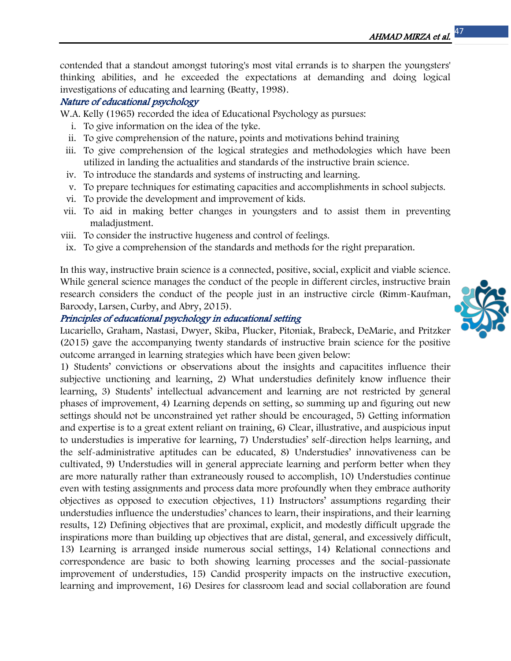contended that a standout amongst tutoring's most vital errands is to sharpen the youngsters' thinking abilities, and he exceeded the expectations at demanding and doing logical investigations of educating and learning (Beatty, 1998).

## Nature of educational psychology

W.A. Kelly (1965) recorded the idea of Educational Psychology as pursues:

- i. To give information on the idea of the tyke.
- ii. To give comprehension of the nature, points and motivations behind training
- iii. To give comprehension of the logical strategies and methodologies which have been utilized in landing the actualities and standards of the instructive brain science.
- iv. To introduce the standards and systems of instructing and learning.
- v. To prepare techniques for estimating capacities and accomplishments in school subjects.
- vi. To provide the development and improvement of kids.
- vii. To aid in making better changes in youngsters and to assist them in preventing maladjustment.
- viii. To consider the instructive hugeness and control of feelings.
- ix. To give a comprehension of the standards and methods for the right preparation.

In this way, instructive brain science is a connected, positive, social, explicit and viable science. While general science manages the conduct of the people in different circles, instructive brain research considers the conduct of the people just in an instructive circle (Rimm-Kaufman, Baroody, Larsen, Curby, and Abry, 2015).

#### Principles of educational psychology in educational setting

Lucariello, Graham, Nastasi, Dwyer, Skiba, Plucker, Pitoniak, Brabeck, DeMarie, and Pritzker (2015) gave the accompanying twenty standards of instructive brain science for the positive outcome arranged in learning strategies which have been given below:

1) Students' convictions or observations about the insights and capacitites influence their subjective unctioning and learning, 2) What understudies definitely know influence their learning, 3) Students' intellectual advancement and learning are not restricted by general phases of improvement, 4) Learning depends on setting, so summing up and figuring out new settings should not be unconstrained yet rather should be encouraged, 5) Getting information and expertise is to a great extent reliant on training, 6) Clear, illustrative, and auspicious input to understudies is imperative for learning, 7) Understudies' self-direction helps learning, and the self-administrative aptitudes can be educated, 8) Understudies' innovativeness can be cultivated, 9) Understudies will in general appreciate learning and perform better when they are more naturally rather than extraneously roused to accomplish, 10) Understudies continue even with testing assignments and process data more profoundly when they embrace authority objectives as opposed to execution objectives, 11) Instructors' assumptions regarding their understudies influence the understudies' chances to learn, their inspirations, and their learning results, 12) Defining objectives that are proximal, explicit, and modestly difficult upgrade the inspirations more than building up objectives that are distal, general, and excessively difficult, 13) Learning is arranged inside numerous social settings, 14) Relational connections and correspondence are basic to both showing learning processes and the social-passionate improvement of understudies, 15) Candid prosperity impacts on the instructive execution, learning and improvement, 16) Desires for classroom lead and social collaboration are found

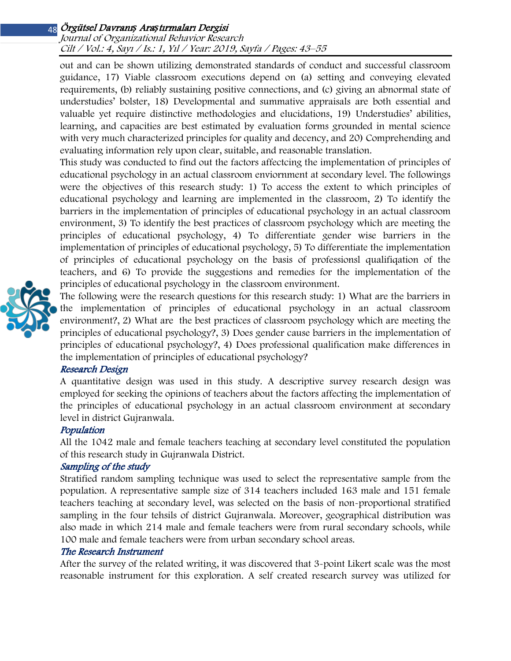#### Journal of Organizational Behavior Research Cilt / Vol.: 4, Sayı / Is.: <sup>1</sup>, Yıl / Year: 2019, Sayfa / Pages: 43–55

out and can be shown utilizing demonstrated standards of conduct and successful classroom guidance, 17) Viable classroom executions depend on (a) setting and conveying elevated requirements, (b) reliably sustaining positive connections, and (c) giving an abnormal state of understudies' bolster, 18) Developmental and summative appraisals are both essential and valuable yet require distinctive methodologies and elucidations, 19) Understudies' abilities, learning, and capacities are best estimated by evaluation forms grounded in mental science with very much characterized principles for quality and decency, and 20) Comprehending and evaluating information rely upon clear, suitable, and reasonable translation.

This study was conducted to find out the factors affectcing the implementation of principles of educational psychology in an actual classroom enviornment at secondary level. The followings were the objectives of this research study: 1) To access the extent to which principles of educational psychology and learning are implemented in the classroom, 2) To identify the barriers in the implementation of principles of educational psychology in an actual classroom environment, 3) To identify the best practices of classroom psychology which are meeting the principles of educational psychology, 4) To differentiate gender wise barriers in the implementation of principles of educational psychology, 5) To differentiate the implementation of principles of educational psychology on the basis of professionsl qualifiqation of the teachers, and 6) To provide the suggestions and remedies for the implementation of the principles of educational psychology in the classroom environment.



The following were the research questions for this research study: 1) What are the barriers in the implementation of principles of educational psychology in an actual classroom environment?, 2) What are the best practices of classroom psychology which are meeting the principles of educational psychology?, 3) Does gender cause barriers in the implementation of principles of educational psychology?, 4) Does professional qualification make differences in the implementation of principles of educational psychology?

## Research Design

A quantitative design was used in this study. A descriptive survey research design was employed for seeking the opinions of teachers about the factors affecting the implementation of the principles of educational psychology in an actual classroom environment at secondary level in district Gujranwala.

#### Population

All the 1042 male and female teachers teaching at secondary level constituted the population of this research study in Gujranwala District.

## Sampling of the study

Stratified random sampling technique was used to select the representative sample from the population. A representative sample size of 314 teachers included 163 male and 151 female teachers teaching at secondary level, was selected on the basis of non-proportional stratified sampling in the four tehsils of district Gujranwala. Moreover, geographical distribution was also made in which 214 male and female teachers were from rural secondary schools, while 100 male and female teachers were from urban secondary school areas.

#### The Research Instrument

After the survey of the related writing, it was discovered that 3-point Likert scale was the most reasonable instrument for this exploration. A self created research survey was utilized for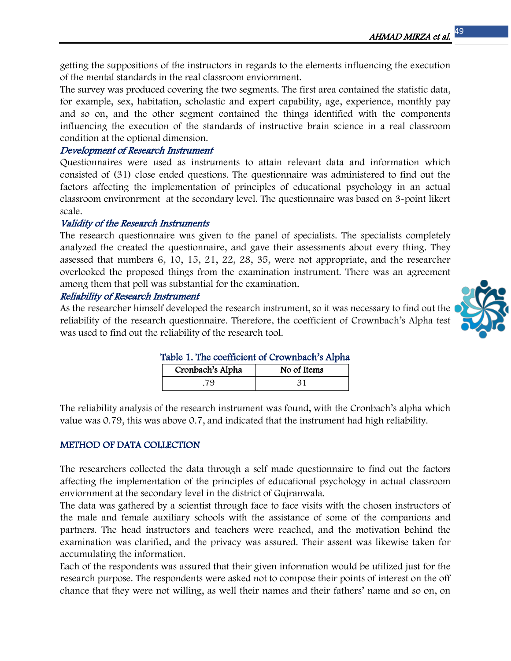getting the suppositions of the instructors in regards to the elements influencing the execution of the mental standards in the real classroom enviornment.

The survey was produced covering the two segments. The first area contained the statistic data, for example, sex, habitation, scholastic and expert capability, age, experience, monthly pay and so on, and the other segment contained the things identified with the components influencing the execution of the standards of instructive brain science in a real classroom condition at the optional dimension.

## Development of Research Instrument

Questionnaires were used as instruments to attain relevant data and information which consisted of (31) close ended questions. The questionnaire was administered to find out the factors affecting the implementation of principles of educational psychology in an actual classroom environrment at the secondary level. The questionnaire was based on 3-point likert scale.

## Validity of the Research Instruments

The research questionnaire was given to the panel of specialists. The specialists completely analyzed the created the questionnaire, and gave their assessments about every thing. They assessed that numbers 6, 10, 15, 21, 22, 28, 35, were not appropriate, and the researcher overlooked the proposed things from the examination instrument. There was an agreement among them that poll was substantial for the examination.

## Reliability of Research Instrument

As the researcher himself developed the research instrument, so it was necessary to find out the reliability of the research questionnaire. Therefore, the coefficient of Crownbach's Alpha test was used to find out the reliability of the research tool.



| Table 1. The coefficient of Crownbach's Alpha |  |             |  |  |  |
|-----------------------------------------------|--|-------------|--|--|--|
| Cronbach's Alpha                              |  | No of Items |  |  |  |

.79 31

The reliability analysis of the research instrument was found, with the Cronbach's alpha which value was 0.79, this was above 0.7, and indicated that the instrument had high reliability.

## METHOD OF DATA COLLECTION

The researchers collected the data through a self made questionnaire to find out the factors affecting the implementation of the principles of educational psychology in actual classroom enviornment at the secondary level in the district of Gujranwala.

The data was gathered by a scientist through face to face visits with the chosen instructors of the male and female auxiliary schools with the assistance of some of the companions and partners. The head instructors and teachers were reached, and the motivation behind the examination was clarified, and the privacy was assured. Their assent was likewise taken for accumulating the information.

Each of the respondents was assured that their given information would be utilized just for the research purpose. The respondents were asked not to compose their points of interest on the off chance that they were not willing, as well their names and their fathers' name and so on, on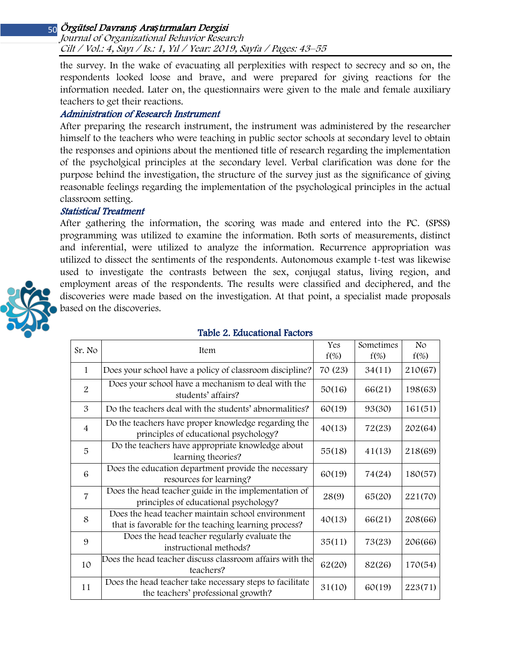Journal of Organizational Behavior Research Cilt / Vol.: 4, Sayı / Is.: <sup>1</sup>, Yıl / Year: 2019, Sayfa / Pages: 43–55

the survey. In the wake of evacuating all perplexities with respect to secrecy and so on, the respondents looked loose and brave, and were prepared for giving reactions for the information needed. Later on, the questionnairs were given to the male and female auxiliary teachers to get their reactions.

#### Administration of Research Instrument

After preparing the research instrument, the instrument was administered by the researcher himself to the teachers who were teaching in public sector schools at secondary level to obtain the responses and opinions about the mentioned title of research regarding the implementation of the psycholgical principles at the secondary level. Verbal clarification was done for the purpose behind the investigation, the structure of the survey just as the significance of giving reasonable feelings regarding the implementation of the psychological principles in the actual classroom setting.

#### Statistical Treatment

After gathering the information, the scoring was made and entered into the PC. (SPSS) programming was utilized to examine the information. Both sorts of measurements, distinct and inferential, were utilized to analyze the information. Recurrence appropriation was utilized to dissect the sentiments of the respondents. Autonomous example t-test was likewise used to investigate the contrasts between the sex, conjugal status, living region, and employment areas of the respondents. The results were classified and deciphered, and the discoveries were made based on the investigation. At that point, a specialist made proposals based on the discoveries.



| Table 2. Educational Factors |
|------------------------------|
|------------------------------|

|                | <b>Item</b>                                                                                               | Yes     | Sometimes | N <sub>o</sub> |
|----------------|-----------------------------------------------------------------------------------------------------------|---------|-----------|----------------|
| Sr. No         |                                                                                                           | $f(\%)$ | $f(\%)$   | $f(\%)$        |
| $\mathbf{1}$   | Does your school have a policy of classroom discipline?                                                   | 70 (23) | 34(11)    | 210(67)        |
| 2              | Does your school have a mechanism to deal with the<br>students' affairs?                                  | 50(16)  | 66(21)    | 198(63)        |
| 3              | Do the teachers deal with the students' abnormalities?                                                    | 60(19)  | 93(30)    | 161(51)        |
| $\overline{4}$ | Do the teachers have proper knowledge regarding the<br>principles of educational psychology?              | 40(13)  | 72(23)    | 202(64)        |
| 5              | Do the teachers have appropriate knowledge about<br>learning theories?                                    | 55(18)  | 41(13)    | 218(69)        |
| 6              | Does the education department provide the necessary<br>resources for learning?                            | 60(19)  | 74(24)    | 180(57)        |
| $\overline{7}$ | Does the head teacher guide in the implementation of<br>principles of educational psychology?             | 28(9)   | 65(20)    | 221(70)        |
| 8              | Does the head teacher maintain school environment<br>that is favorable for the teaching learning process? | 40(13)  | 66(21)    | 208(66)        |
| 9              | Does the head teacher regularly evaluate the<br>instructional methods?                                    | 35(11)  | 73(23)    | 206(66)        |
| 10             | Does the head teacher discuss classroom affairs with the<br>teachers?                                     | 62(20)  | 82(26)    | 170(54)        |
| 11             | Does the head teacher take necessary steps to facilitate<br>the teachers' professional growth?            | 31(10)  | 60(19)    | 223(71)        |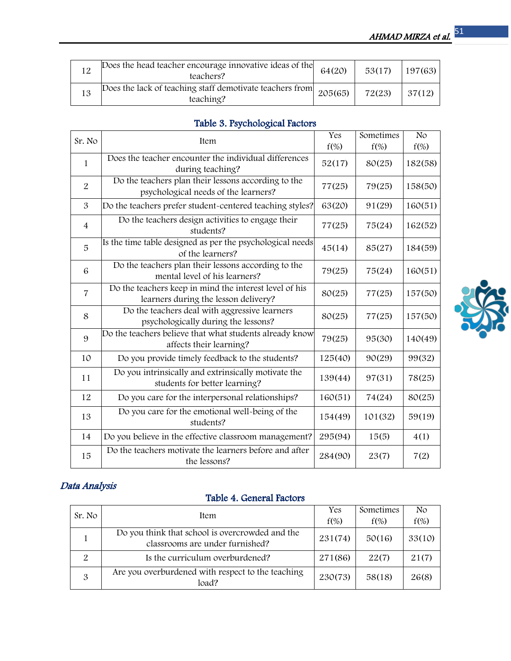| Does the head teacher encourage innovative ideas of the<br>teachers?                        | 64(20) | 53(17) | 197(63) |
|---------------------------------------------------------------------------------------------|--------|--------|---------|
| Does the lack of teaching staff demotivate teachers from $\Big  205(65) \Big $<br>teaching? |        | 72(23) | 37(12)  |

# Table 3. Psychological Factors

| Sr. No         |                                                                                                | Yes     | Sometimes | No      |
|----------------|------------------------------------------------------------------------------------------------|---------|-----------|---------|
|                | Item                                                                                           | $f(\%)$ | $f(\%)$   | $f(\%)$ |
| $\mathbf{1}$   | Does the teacher encounter the individual differences<br>during teaching?                      | 52(17)  | 80(25)    | 182(58) |
| $\overline{2}$ | Do the teachers plan their lessons according to the<br>psychological needs of the learners?    | 77(25)  | 79(25)    | 158(50) |
| 3              | Do the teachers prefer student-centered teaching styles?                                       | 63(20)  | 91(29)    | 160(51) |
| $\overline{4}$ | Do the teachers design activities to engage their<br>students?                                 | 77(25)  | 75(24)    | 162(52) |
| 5              | Is the time table designed as per the psychological needs<br>of the learners?                  | 45(14)  | 85(27)    | 184(59) |
| 6              | Do the teachers plan their lessons according to the<br>mental level of his learners?           | 79(25)  | 75(24)    | 160(51) |
| $\overline{7}$ | Do the teachers keep in mind the interest level of his<br>learners during the lesson delivery? | 80(25)  | 77(25)    | 157(50) |
| 8              | Do the teachers deal with aggressive learners<br>psychologically during the lessons?           | 80(25)  | 77(25)    | 157(50) |
| 9              | Do the teachers believe that what students already know<br>affects their learning?             | 79(25)  | 95(30)    | 140(49) |
| 10             | Do you provide timely feedback to the students?                                                | 125(40) | 90(29)    | 99(32)  |
| 11             | Do you intrinsically and extrinsically motivate the<br>students for better learning?           | 139(44) | 97(31)    | 78(25)  |
| 12             | Do you care for the interpersonal relationships?                                               | 160(51) | 74(24)    | 80(25)  |
| 13             | Do you care for the emotional well-being of the<br>students?                                   | 154(49) | 101(32)   | 59(19)  |
| 14             | Do you believe in the effective classroom management?                                          | 295(94) | 15(5)     | 4(1)    |
| 15             | Do the teachers motivate the learners before and after<br>the lessons?                         | 284(90) | 23(7)     | 7(2)    |

# Data Analysis

# Table 4. General Factors

|        | Item                                                                               | Yes     | Sometimes | N <sub>o</sub> |
|--------|------------------------------------------------------------------------------------|---------|-----------|----------------|
| Sr. No |                                                                                    | $f(\%)$ | $f(\%)$   | $f(\%)$        |
|        | Do you think that school is overcrowded and the<br>classrooms are under furnished? | 231(74) | 50(16)    | 33(10)         |
| 2      | Is the curriculum overburdened?                                                    | 271(86) | 22(7)     | 21(7)          |
| 3      | Are you overburdened with respect to the teaching<br>load?                         | 230(73) | 58(18)    | 26(8)          |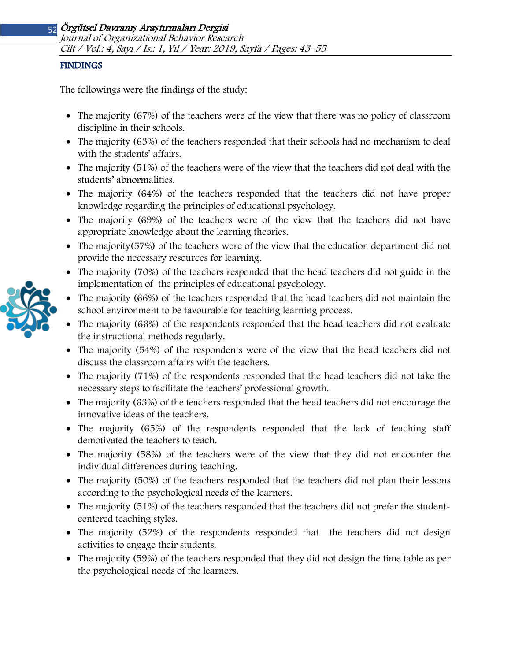#### FINDINGS

The followings were the findings of the study:

- The majority (67%) of the teachers were of the view that there was no policy of classroom discipline in their schools.
- The majority (63%) of the teachers responded that their schools had no mechanism to deal with the students' affairs.
- The majority (51%) of the teachers were of the view that the teachers did not deal with the students' abnormalities.
- The majority (64%) of the teachers responded that the teachers did not have proper knowledge regarding the principles of educational psychology.
- The majority (69%) of the teachers were of the view that the teachers did not have appropriate knowledge about the learning theories.
- The majority(57%) of the teachers were of the view that the education department did not provide the necessary resources for learning.
- The majority (70%) of the teachers responded that the head teachers did not guide in the implementation of the principles of educational psychology.
- The majority (66%) of the teachers responded that the head teachers did not maintain the school environment to be favourable for teaching learning process.
- The majority (66%) of the respondents responded that the head teachers did not evaluate the instructional methods regularly.
- The majority (54%) of the respondents were of the view that the head teachers did not discuss the classroom affairs with the teachers.
- The majority (71%) of the respondents responded that the head teachers did not take the necessary steps to facilitate the teachers' professional growth.
- The majority (63%) of the teachers responded that the head teachers did not encourage the innovative ideas of the teachers.
- The majority (65%) of the respondents responded that the lack of teaching staff demotivated the teachers to teach.
- The majority (58%) of the teachers were of the view that they did not encounter the individual differences during teaching.
- The majority (50%) of the teachers responded that the teachers did not plan their lessons according to the psychological needs of the learners.
- The majority (51%) of the teachers responded that the teachers did not prefer the studentcentered teaching styles.
- The majority (52%) of the respondents responded that the teachers did not design activities to engage their students.
- The majority (59%) of the teachers responded that they did not design the time table as per the psychological needs of the learners.

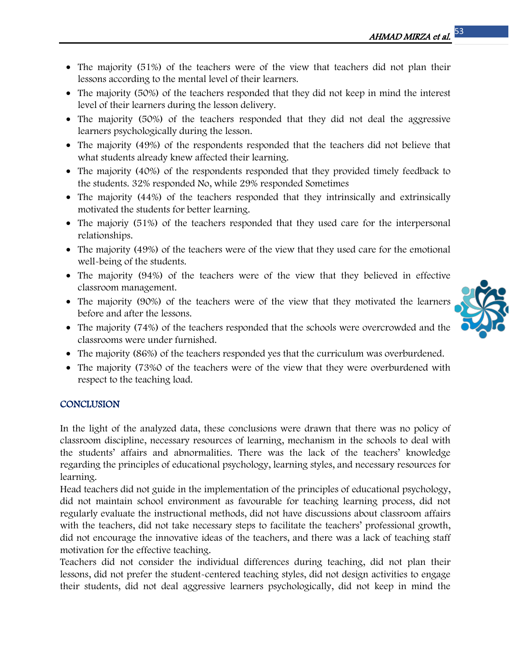- The majority (51%) of the teachers were of the view that teachers did not plan their lessons according to the mental level of their learners.
- The majority (50%) of the teachers responded that they did not keep in mind the interest level of their learners during the lesson delivery.
- The majority (50%) of the teachers responded that they did not deal the aggressive learners psychologically during the lesson.
- The majority (49%) of the respondents responded that the teachers did not believe that what students already knew affected their learning.
- The majority (40%) of the respondents responded that they provided timely feedback to the students. 32% responded No, while 29% responded Sometimes
- The majority (44%) of the teachers responded that they intrinsically and extrinsically motivated the students for better learning.
- The majoriy (51%) of the teachers responded that they used care for the interpersonal relationships.
- The majority (49%) of the teachers were of the view that they used care for the emotional well-being of the students.
- The majority (94%) of the teachers were of the view that they believed in effective classroom management.
- The majority (90%) of the teachers were of the view that they motivated the learners before and after the lessons.
- The majority (74%) of the teachers responded that the schools were overcrowded and the classrooms were under furnished.
- The majority (86%) of the teachers responded yes that the curriculum was overburdened.
- The majority (73%0 of the teachers were of the view that they were overburdened with respect to the teaching load.

## **CONCLUSION**

In the light of the analyzed data, these conclusions were drawn that there was no policy of classroom discipline, necessary resources of learning, mechanism in the schools to deal with the students' affairs and abnormalities. There was the lack of the teachers' knowledge regarding the principles of educational psychology, learning styles, and necessary resources for learning.

Head teachers did not guide in the implementation of the principles of educational psychology, did not maintain school environment as favourable for teaching learning process, did not regularly evaluate the instructional methods, did not have discussions about classroom affairs with the teachers, did not take necessary steps to facilitate the teachers' professional growth, did not encourage the innovative ideas of the teachers, and there was a lack of teaching staff motivation for the effective teaching.

Teachers did not consider the individual differences during teaching, did not plan their lessons, did not prefer the student-centered teaching styles, did not design activities to engage their students, did not deal aggressive learners psychologically, did not keep in mind the

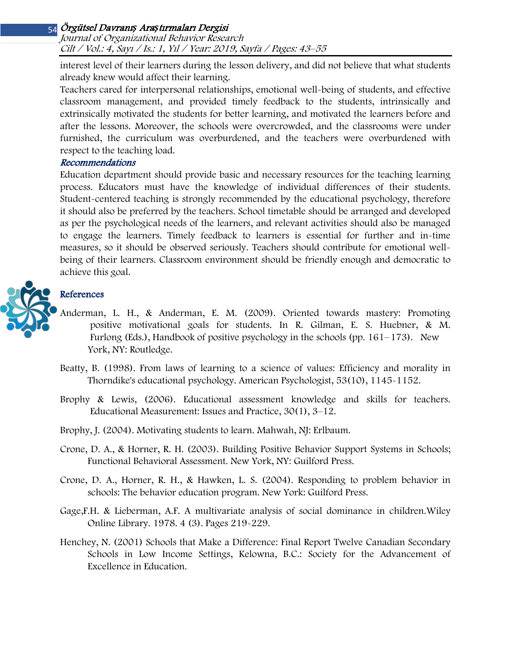#### Journal of Organizational Behavior Research Cilt / Vol.: 4, Sayı / Is.: <sup>1</sup>, Yıl / Year: 2019, Sayfa / Pages: 43–55

interest level of their learners during the lesson delivery, and did not believe that what students already knew would affect their learning.

Teachers cared for interpersonal relationships, emotional well-being of students, and effective classroom management, and provided timely feedback to the students, intrinsically and extrinsically motivated the students for better learning, and motivated the learners before and after the lessons. Moreover, the schools were overcrowded, and the classrooms were under furnished, the curriculum was overburdened, and the teachers were overburdened with respect to the teaching load.

#### Recommendations

Education department should provide basic and necessary resources for the teaching learning process. Educators must have the knowledge of individual differences of their students. Student-centered teaching is strongly recommended by the educational psychology, therefore it should also be preferred by the teachers. School timetable should be arranged and developed as per the psychological needs of the learners, and relevant activities should also be managed to engage the learners. Timely feedback to learners is essential for further and in-time measures, so it should be observed seriously. Teachers should contribute for emotional wellbeing of their learners. Classroom environment should be friendly enough and democratic to achieve this goal.



# References

- Anderman, L. H., & Anderman, E. M. (2009). Oriented towards mastery: Promoting positive motivational goals for students. In R. Gilman, E. S. Huebner, & M. Furlong (Eds.), Handbook of positive psychology in the schools (pp.  $161-173$ ). New York, NY: Routledge.
- Beatty, B. (1998). From laws of learning to a science of values: Efficiency and morality in Thorndike's educational psychology. American Psychologist, 53(10), 1145-1152.
- Brophy & Lewis, (2006). Educational assessment knowledge and skills for teachers. Educational Measurement: Issues and Practice, 30(1), 3–12.

Brophy, J. (2004). Motivating students to learn. Mahwah, NJ: Erlbaum.

- Crone, D. A., & Horner, R. H. (2003). Building Positive Behavior Support Systems in Schools; Functional Behavioral Assessment. New York, NY: Guilford Press.
- Crone, D. A., Horner, R. H., & Hawken, L. S. (2004). Responding to problem behavior in schools: The behavior education program. New York: Guilford Press.
- Gage,F.H. & Lieberman, A.F. A multivariate analysis of social dominance in children.Wiley Online Library. 1978. 4 (3). Pages 219-229.
- Henchey, N. (2001) Schools that Make a Difference: Final Report Twelve Canadian Secondary Schools in Low Income Settings, Kelowna, B.C.: Society for the Advancement of Excellence in Education.